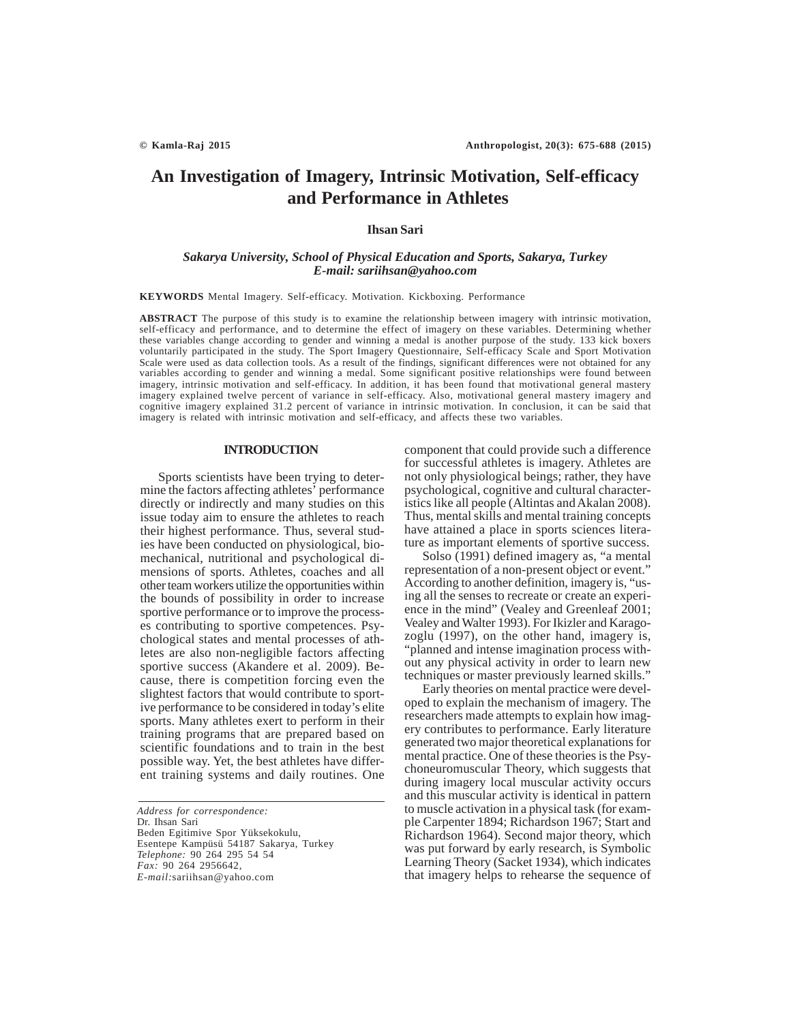# **An Investigation of Imagery, Intrinsic Motivation, Self-efficacy and Performance in Athletes**

# **Ihsan Sari**

## *Sakarya University, School of Physical Education and Sports, Sakarya, Turkey E-mail: sariihsan@yahoo.com*

**KEYWORDS** Mental Imagery. Self-efficacy. Motivation. Kickboxing. Performance

**ABSTRACT** The purpose of this study is to examine the relationship between imagery with intrinsic motivation, self-efficacy and performance, and to determine the effect of imagery on these variables. Determining whether these variables change according to gender and winning a medal is another purpose of the study. 133 kick boxers voluntarily participated in the study. The Sport Imagery Questionnaire, Self-efficacy Scale and Sport Motivation Scale were used as data collection tools. As a result of the findings, significant differences were not obtained for any variables according to gender and winning a medal. Some significant positive relationships were found between imagery, intrinsic motivation and self-efficacy. In addition, it has been found that motivational general mastery imagery explained twelve percent of variance in self-efficacy. Also, motivational general mastery imagery and cognitive imagery explained 31.2 percent of variance in intrinsic motivation. In conclusion, it can be said that imagery is related with intrinsic motivation and self-efficacy, and affects these two variables.

### **INTRODUCTION**

Sports scientists have been trying to determine the factors affecting athletes' performance directly or indirectly and many studies on this issue today aim to ensure the athletes to reach their highest performance. Thus, several studies have been conducted on physiological, biomechanical, nutritional and psychological dimensions of sports. Athletes, coaches and all other team workers utilize the opportunities within the bounds of possibility in order to increase sportive performance or to improve the processes contributing to sportive competences. Psychological states and mental processes of athletes are also non-negligible factors affecting sportive success (Akandere et al. 2009). Because, there is competition forcing even the slightest factors that would contribute to sportive performance to be considered in today's elite sports. Many athletes exert to perform in their training programs that are prepared based on scientific foundations and to train in the best possible way. Yet, the best athletes have different training systems and daily routines. One

*Address for correspondence:* Dr. Ihsan Sari Beden Egitimive Spor Yüksekokulu, Esentepe Kampüsü 54187 Sakarya, Turkey *Telephone:* 90 264 295 54 54 *Fax:* 90 264 2956642, *E-mail:*sariihsan@yahoo.com

component that could provide such a difference for successful athletes is imagery. Athletes are not only physiological beings; rather, they have psychological, cognitive and cultural characteristics like all people (Altintas and Akalan 2008). Thus, mental skills and mental training concepts have attained a place in sports sciences literature as important elements of sportive success.

Solso (1991) defined imagery as, "a mental representation of a non-present object or event." According to another definition, imagery is, "using all the senses to recreate or create an experience in the mind" (Vealey and Greenleaf 2001; Vealey and Walter 1993). For Ikizler and Karagozoglu (1997), on the other hand, imagery is, "planned and intense imagination process without any physical activity in order to learn new techniques or master previously learned skills."

Early theories on mental practice were developed to explain the mechanism of imagery. The researchers made attempts to explain how imagery contributes to performance. Early literature generated two major theoretical explanations for mental practice. One of these theories is the Psychoneuromuscular Theory, which suggests that during imagery local muscular activity occurs and this muscular activity is identical in pattern to muscle activation in a physical task (for example Carpenter 1894; Richardson 1967; Start and Richardson 1964). Second major theory, which was put forward by early research, is Symbolic Learning Theory (Sacket 1934), which indicates that imagery helps to rehearse the sequence of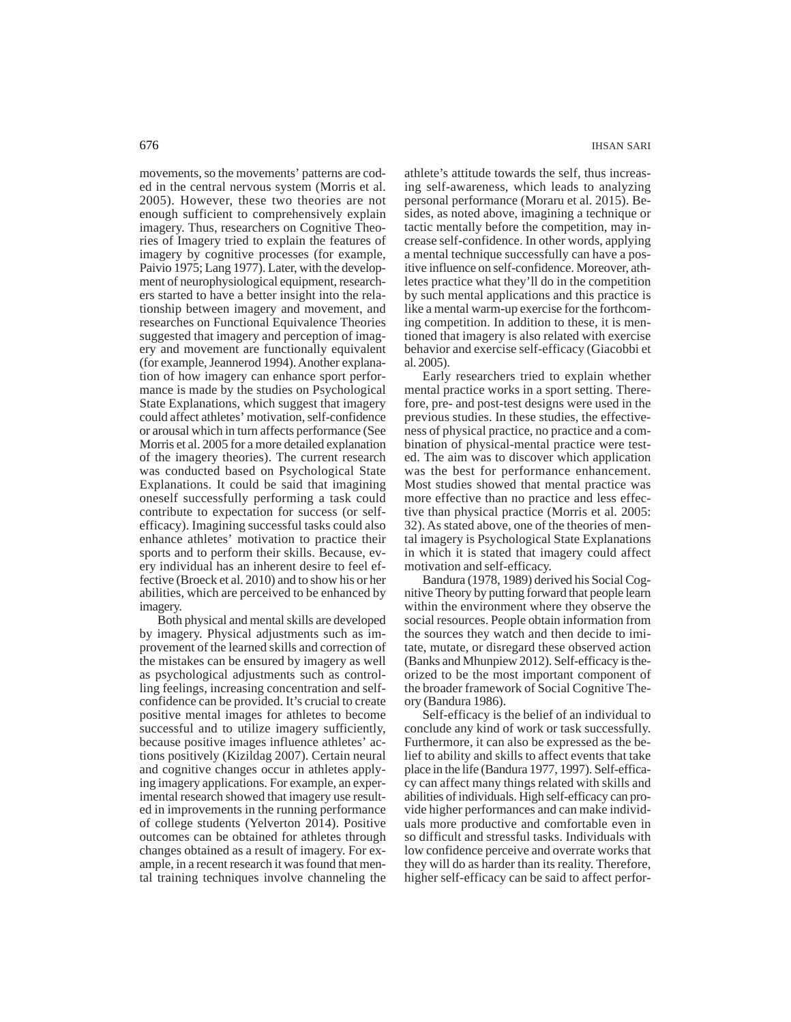movements, so the movements' patterns are coded in the central nervous system (Morris et al. 2005). However, these two theories are not enough sufficient to comprehensively explain imagery. Thus, researchers on Cognitive Theories of Imagery tried to explain the features of imagery by cognitive processes (for example, Paivio 1975; Lang 1977). Later, with the development of neurophysiological equipment, researchers started to have a better insight into the relationship between imagery and movement, and researches on Functional Equivalence Theories suggested that imagery and perception of imagery and movement are functionally equivalent (for example, Jeannerod 1994). Another explanation of how imagery can enhance sport performance is made by the studies on Psychological State Explanations, which suggest that imagery could affect athletes' motivation, self-confidence or arousal which in turn affects performance (See Morris et al. 2005 for a more detailed explanation of the imagery theories). The current research was conducted based on Psychological State Explanations. It could be said that imagining oneself successfully performing a task could contribute to expectation for success (or selfefficacy). Imagining successful tasks could also enhance athletes' motivation to practice their sports and to perform their skills. Because, every individual has an inherent desire to feel effective (Broeck et al. 2010) and to show his or her abilities, which are perceived to be enhanced by imagery.

Both physical and mental skills are developed by imagery. Physical adjustments such as improvement of the learned skills and correction of the mistakes can be ensured by imagery as well as psychological adjustments such as controlling feelings, increasing concentration and selfconfidence can be provided. It's crucial to create positive mental images for athletes to become successful and to utilize imagery sufficiently, because positive images influence athletes' actions positively (Kizildag 2007). Certain neural and cognitive changes occur in athletes applying imagery applications. For example, an experimental research showed that imagery use resulted in improvements in the running performance of college students (Yelverton 2014). Positive outcomes can be obtained for athletes through changes obtained as a result of imagery. For example, in a recent research it was found that mental training techniques involve channeling the athlete's attitude towards the self, thus increasing self-awareness, which leads to analyzing personal performance (Moraru et al. 2015). Besides, as noted above, imagining a technique or tactic mentally before the competition, may increase self-confidence. In other words, applying a mental technique successfully can have a positive influence on self-confidence. Moreover, athletes practice what they'll do in the competition by such mental applications and this practice is like a mental warm-up exercise for the forthcoming competition. In addition to these, it is mentioned that imagery is also related with exercise behavior and exercise self-efficacy (Giacobbi et al. 2005).

Early researchers tried to explain whether mental practice works in a sport setting. Therefore, pre- and post-test designs were used in the previous studies. In these studies, the effectiveness of physical practice, no practice and a combination of physical-mental practice were tested. The aim was to discover which application was the best for performance enhancement. Most studies showed that mental practice was more effective than no practice and less effective than physical practice (Morris et al. 2005: 32). As stated above, one of the theories of mental imagery is Psychological State Explanations in which it is stated that imagery could affect motivation and self-efficacy.

Bandura (1978, 1989) derived his Social Cognitive Theory by putting forward that people learn within the environment where they observe the social resources. People obtain information from the sources they watch and then decide to imitate, mutate, or disregard these observed action (Banks and Mhunpiew 2012). Self-efficacy is theorized to be the most important component of the broader framework of Social Cognitive Theory (Bandura 1986).

Self-efficacy is the belief of an individual to conclude any kind of work or task successfully. Furthermore, it can also be expressed as the belief to ability and skills to affect events that take place in the life (Bandura 1977, 1997). Self-efficacy can affect many things related with skills and abilities of individuals. High self-efficacy can provide higher performances and can make individuals more productive and comfortable even in so difficult and stressful tasks. Individuals with low confidence perceive and overrate works that they will do as harder than its reality. Therefore, higher self-efficacy can be said to affect perfor-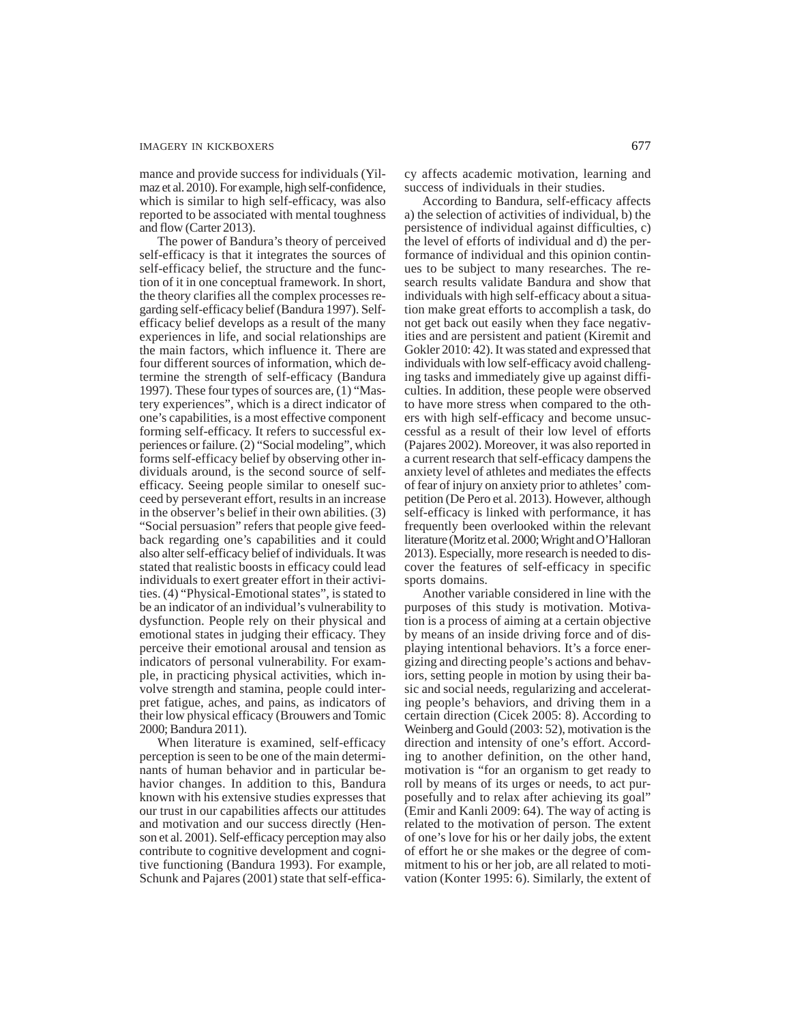mance and provide success for individuals (Yilmaz et al. 2010). For example, high self-confidence, which is similar to high self-efficacy, was also reported to be associated with mental toughness and flow (Carter 2013).

The power of Bandura's theory of perceived self-efficacy is that it integrates the sources of self-efficacy belief, the structure and the function of it in one conceptual framework. In short, the theory clarifies all the complex processes regarding self-efficacy belief (Bandura 1997). Selfefficacy belief develops as a result of the many experiences in life, and social relationships are the main factors, which influence it. There are four different sources of information, which determine the strength of self-efficacy (Bandura 1997). These four types of sources are, (1) "Mastery experiences", which is a direct indicator of one's capabilities, is a most effective component forming self-efficacy. It refers to successful experiences or failure. (2) "Social modeling", which forms self-efficacy belief by observing other individuals around, is the second source of selfefficacy. Seeing people similar to oneself succeed by perseverant effort, results in an increase in the observer's belief in their own abilities. (3) "Social persuasion" refers that people give feedback regarding one's capabilities and it could also alter self-efficacy belief of individuals. It was stated that realistic boosts in efficacy could lead individuals to exert greater effort in their activities. (4) "Physical-Emotional states", is stated to be an indicator of an individual's vulnerability to dysfunction. People rely on their physical and emotional states in judging their efficacy. They perceive their emotional arousal and tension as indicators of personal vulnerability. For example, in practicing physical activities, which involve strength and stamina, people could interpret fatigue, aches, and pains, as indicators of their low physical efficacy (Brouwers and Tomic 2000; Bandura 2011).

When literature is examined, self-efficacy perception is seen to be one of the main determinants of human behavior and in particular behavior changes. In addition to this, Bandura known with his extensive studies expresses that our trust in our capabilities affects our attitudes and motivation and our success directly (Henson et al. 2001). Self-efficacy perception may also contribute to cognitive development and cognitive functioning (Bandura 1993). For example, Schunk and Pajares (2001) state that self-efficacy affects academic motivation, learning and success of individuals in their studies.

According to Bandura, self-efficacy affects a) the selection of activities of individual, b) the persistence of individual against difficulties, c) the level of efforts of individual and d) the performance of individual and this opinion continues to be subject to many researches. The research results validate Bandura and show that individuals with high self-efficacy about a situation make great efforts to accomplish a task, do not get back out easily when they face negativities and are persistent and patient (Kiremit and Gokler 2010: 42). It was stated and expressed that individuals with low self-efficacy avoid challenging tasks and immediately give up against difficulties. In addition, these people were observed to have more stress when compared to the others with high self-efficacy and become unsuccessful as a result of their low level of efforts (Pajares 2002). Moreover, it was also reported in a current research that self-efficacy dampens the anxiety level of athletes and mediates the effects of fear of injury on anxiety prior to athletes' competition (De Pero et al. 2013). However, although self-efficacy is linked with performance, it has frequently been overlooked within the relevant literature (Moritz et al. 2000; Wright and O'Halloran 2013). Especially, more research is needed to discover the features of self-efficacy in specific sports domains.

Another variable considered in line with the purposes of this study is motivation. Motivation is a process of aiming at a certain objective by means of an inside driving force and of displaying intentional behaviors. It's a force energizing and directing people's actions and behaviors, setting people in motion by using their basic and social needs, regularizing and accelerating people's behaviors, and driving them in a certain direction (Cicek 2005: 8). According to Weinberg and Gould (2003: 52), motivation is the direction and intensity of one's effort. According to another definition, on the other hand, motivation is "for an organism to get ready to roll by means of its urges or needs, to act purposefully and to relax after achieving its goal" (Emir and Kanli 2009: 64). The way of acting is related to the motivation of person. The extent of one's love for his or her daily jobs, the extent of effort he or she makes or the degree of commitment to his or her job, are all related to motivation (Konter 1995: 6). Similarly, the extent of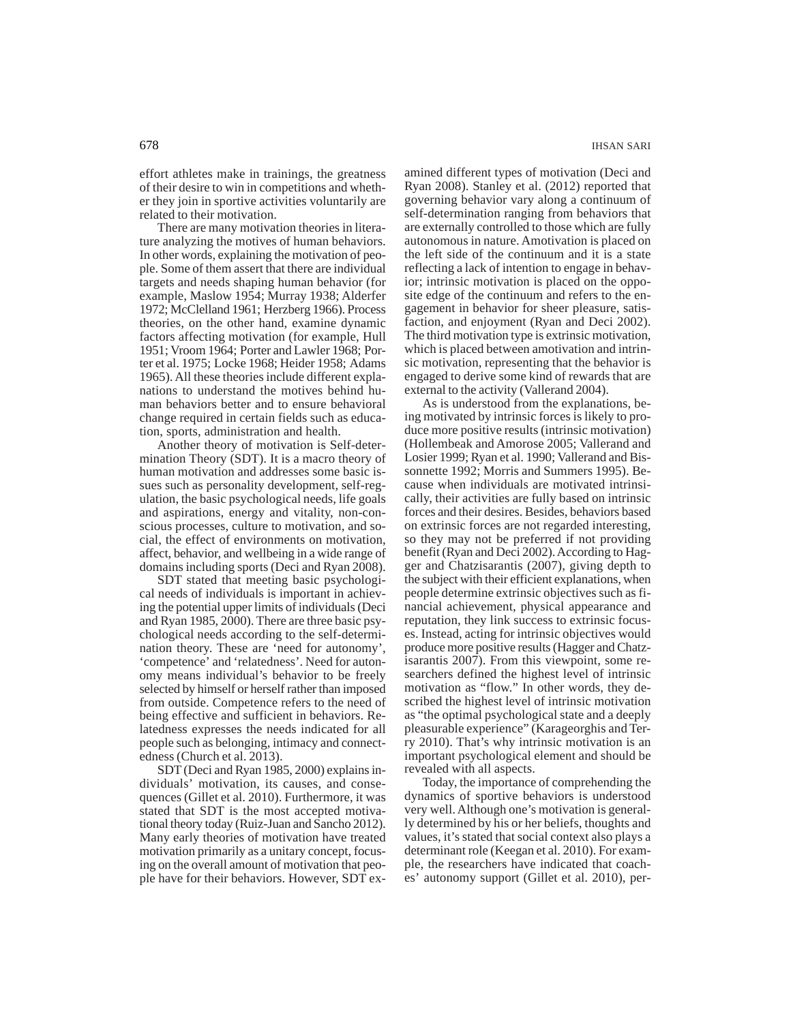effort athletes make in trainings, the greatness of their desire to win in competitions and whether they join in sportive activities voluntarily are related to their motivation.

There are many motivation theories in literature analyzing the motives of human behaviors. In other words, explaining the motivation of people. Some of them assert that there are individual targets and needs shaping human behavior (for example, Maslow 1954; Murray 1938; Alderfer 1972; McClelland 1961; Herzberg 1966). Process theories, on the other hand, examine dynamic factors affecting motivation (for example, Hull 1951; Vroom 1964; Porter and Lawler 1968; Porter et al. 1975; Locke 1968; Heider 1958; Adams 1965). All these theories include different explanations to understand the motives behind human behaviors better and to ensure behavioral change required in certain fields such as education, sports, administration and health.

Another theory of motivation is Self-determination Theory (SDT). It is a macro theory of human motivation and addresses some basic issues such as personality development, self-regulation, the basic psychological needs, life goals and aspirations, energy and vitality, non-conscious processes, culture to motivation, and social, the effect of environments on motivation, affect, behavior, and wellbeing in a wide range of domains including sports (Deci and Ryan 2008).

SDT stated that meeting basic psychological needs of individuals is important in achieving the potential upper limits of individuals (Deci and Ryan 1985, 2000). There are three basic psychological needs according to the self-determination theory. These are 'need for autonomy', 'competence' and 'relatedness'. Need for autonomy means individual's behavior to be freely selected by himself or herself rather than imposed from outside. Competence refers to the need of being effective and sufficient in behaviors. Relatedness expresses the needs indicated for all people such as belonging, intimacy and connectedness (Church et al. 2013).

SDT (Deci and Ryan 1985, 2000) explains individuals' motivation, its causes, and consequences (Gillet et al. 2010). Furthermore, it was stated that SDT is the most accepted motivational theory today (Ruiz-Juan and Sancho 2012). Many early theories of motivation have treated motivation primarily as a unitary concept, focusing on the overall amount of motivation that people have for their behaviors. However, SDT examined different types of motivation (Deci and Ryan 2008). Stanley et al. (2012) reported that governing behavior vary along a continuum of self-determination ranging from behaviors that are externally controlled to those which are fully autonomous in nature. Amotivation is placed on the left side of the continuum and it is a state reflecting a lack of intention to engage in behavior; intrinsic motivation is placed on the opposite edge of the continuum and refers to the engagement in behavior for sheer pleasure, satisfaction, and enjoyment (Ryan and Deci 2002). The third motivation type is extrinsic motivation, which is placed between amotivation and intrinsic motivation, representing that the behavior is engaged to derive some kind of rewards that are external to the activity (Vallerand 2004).

As is understood from the explanations, being motivated by intrinsic forces is likely to produce more positive results (intrinsic motivation) (Hollembeak and Amorose 2005; Vallerand and Losier 1999; Ryan et al. 1990; Vallerand and Bissonnette 1992; Morris and Summers 1995). Because when individuals are motivated intrinsically, their activities are fully based on intrinsic forces and their desires. Besides, behaviors based on extrinsic forces are not regarded interesting, so they may not be preferred if not providing benefit (Ryan and Deci 2002). According to Hagger and Chatzisarantis (2007), giving depth to the subject with their efficient explanations, when people determine extrinsic objectives such as financial achievement, physical appearance and reputation, they link success to extrinsic focuses. Instead, acting for intrinsic objectives would produce more positive results (Hagger and Chatzisarantis 2007). From this viewpoint, some researchers defined the highest level of intrinsic motivation as "flow." In other words, they described the highest level of intrinsic motivation as "the optimal psychological state and a deeply pleasurable experience" (Karageorghis and Terry 2010). That's why intrinsic motivation is an important psychological element and should be revealed with all aspects.

Today, the importance of comprehending the dynamics of sportive behaviors is understood very well. Although one's motivation is generally determined by his or her beliefs, thoughts and values, it's stated that social context also plays a determinant role (Keegan et al. 2010). For example, the researchers have indicated that coaches' autonomy support (Gillet et al. 2010), per-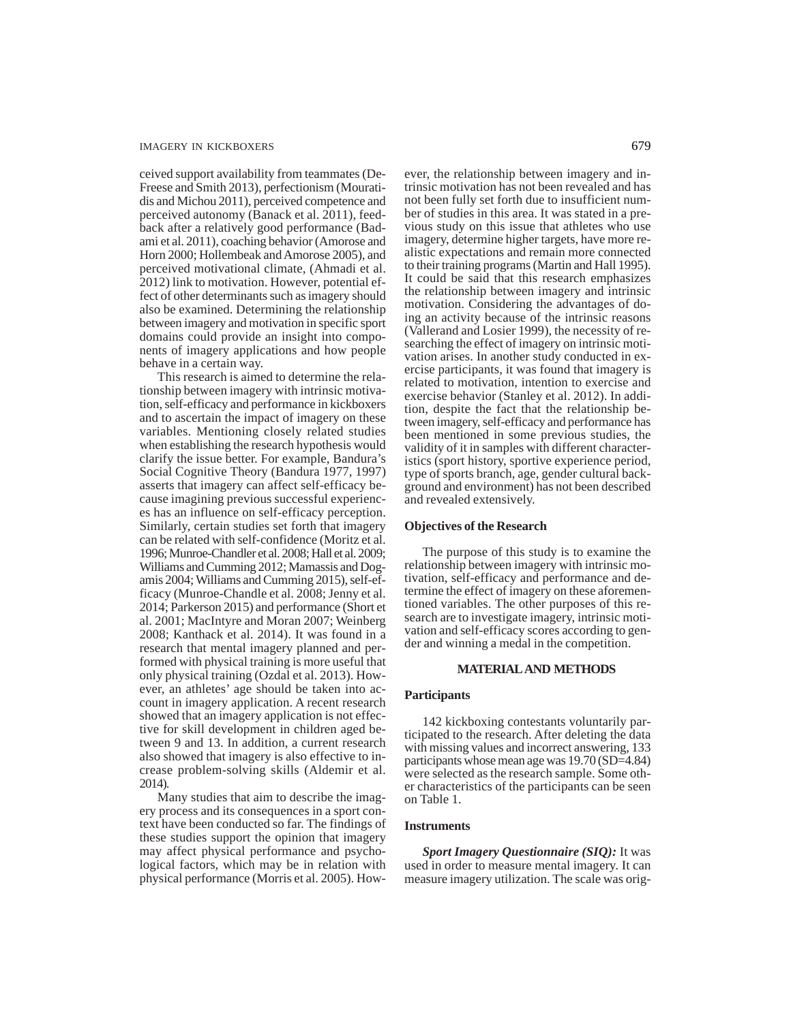ceived support availability from teammates (De-Freese and Smith 2013), perfectionism (Mouratidis and Michou 2011), perceived competence and perceived autonomy (Banack et al. 2011), feedback after a relatively good performance (Badami et al. 2011), coaching behavior (Amorose and Horn 2000; Hollembeak and Amorose 2005), and perceived motivational climate, (Ahmadi et al. 2012) link to motivation. However, potential effect of other determinants such as imagery should also be examined. Determining the relationship between imagery and motivation in specific sport domains could provide an insight into components of imagery applications and how people behave in a certain way.

This research is aimed to determine the relationship between imagery with intrinsic motivation, self-efficacy and performance in kickboxers and to ascertain the impact of imagery on these variables. Mentioning closely related studies when establishing the research hypothesis would clarify the issue better. For example, Bandura's Social Cognitive Theory (Bandura 1977, 1997) asserts that imagery can affect self-efficacy because imagining previous successful experiences has an influence on self-efficacy perception. Similarly, certain studies set forth that imagery can be related with self-confidence (Moritz et al. 1996; Munroe-Chandler et al. 2008; Hall et al. 2009; Williams and Cumming 2012; Mamassis and Dogamis 2004; Williams and Cumming 2015), self-efficacy (Munroe-Chandle et al. 2008; Jenny et al. 2014; Parkerson 2015) and performance (Short et al. 2001; MacIntyre and Moran 2007; Weinberg 2008; Kanthack et al. 2014). It was found in a research that mental imagery planned and performed with physical training is more useful that only physical training (Ozdal et al. 2013). However, an athletes' age should be taken into account in imagery application. A recent research showed that an imagery application is not effective for skill development in children aged between 9 and 13. In addition, a current research also showed that imagery is also effective to increase problem-solving skills (Aldemir et al. 2014).

Many studies that aim to describe the imagery process and its consequences in a sport context have been conducted so far. The findings of these studies support the opinion that imagery may affect physical performance and psychological factors, which may be in relation with physical performance (Morris et al. 2005). However, the relationship between imagery and intrinsic motivation has not been revealed and has not been fully set forth due to insufficient number of studies in this area. It was stated in a previous study on this issue that athletes who use imagery, determine higher targets, have more realistic expectations and remain more connected to their training programs (Martin and Hall 1995). It could be said that this research emphasizes the relationship between imagery and intrinsic motivation. Considering the advantages of doing an activity because of the intrinsic reasons (Vallerand and Losier 1999), the necessity of researching the effect of imagery on intrinsic motivation arises. In another study conducted in exercise participants, it was found that imagery is related to motivation, intention to exercise and exercise behavior (Stanley et al. 2012). In addition, despite the fact that the relationship between imagery, self-efficacy and performance has been mentioned in some previous studies, the validity of it in samples with different characteristics (sport history, sportive experience period, type of sports branch, age, gender cultural background and environment) has not been described and revealed extensively.

### **Objectives of the Research**

The purpose of this study is to examine the relationship between imagery with intrinsic motivation, self-efficacy and performance and determine the effect of imagery on these aforementioned variables. The other purposes of this research are to investigate imagery, intrinsic motivation and self-efficacy scores according to gender and winning a medal in the competition.

#### **MATERIAL AND METHODS**

### **Participants**

142 kickboxing contestants voluntarily participated to the research. After deleting the data with missing values and incorrect answering, 133 participants whose mean age was 19.70 (SD=4.84) were selected as the research sample. Some other characteristics of the participants can be seen on Table 1.

### **Instruments**

*Sport Imagery Questionnaire (SIQ):* It was used in order to measure mental imagery. It can measure imagery utilization. The scale was orig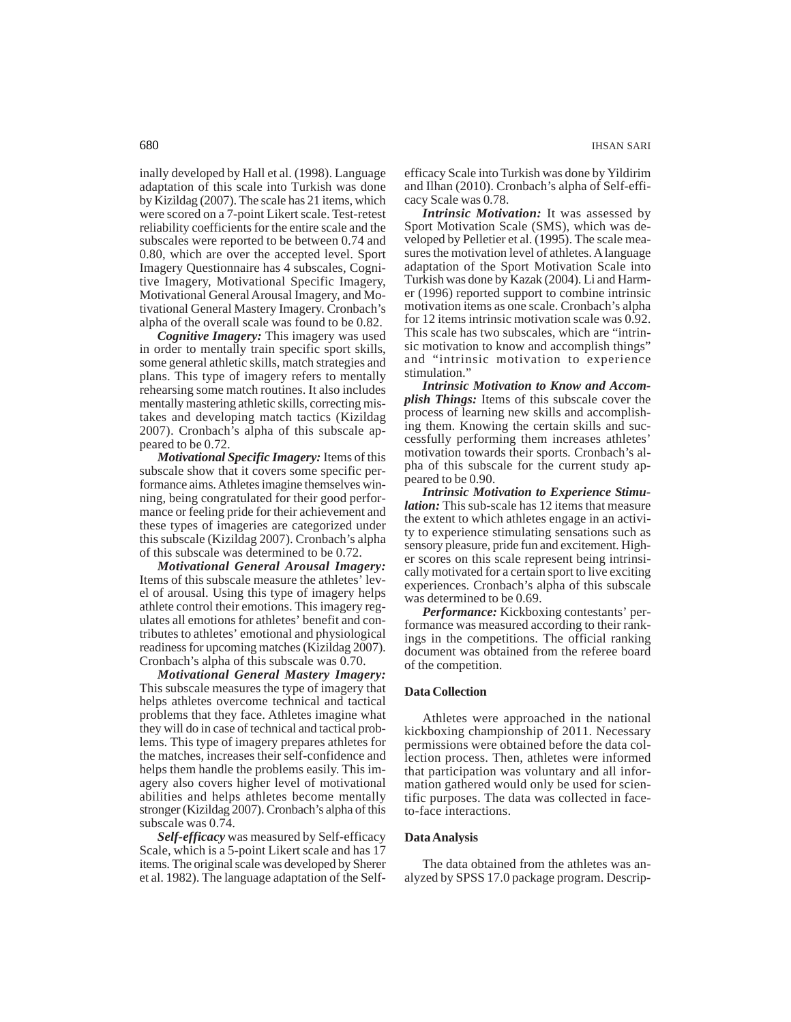inally developed by Hall et al. (1998). Language adaptation of this scale into Turkish was done by Kizildag (2007). The scale has 21 items, which were scored on a 7-point Likert scale. Test-retest reliability coefficients for the entire scale and the subscales were reported to be between 0.74 and 0.80, which are over the accepted level. Sport Imagery Questionnaire has 4 subscales, Cognitive Imagery, Motivational Specific Imagery, Motivational General Arousal Imagery, and Motivational General Mastery Imagery. Cronbach's alpha of the overall scale was found to be 0.82.

*Cognitive Imagery:* This imagery was used in order to mentally train specific sport skills, some general athletic skills, match strategies and plans. This type of imagery refers to mentally rehearsing some match routines. It also includes mentally mastering athletic skills, correcting mistakes and developing match tactics (Kizildag 2007). Cronbach's alpha of this subscale appeared to be 0.72.

*Motivational Specific Imagery:* Items of this subscale show that it covers some specific performance aims. Athletes imagine themselves winning, being congratulated for their good performance or feeling pride for their achievement and these types of imageries are categorized under this subscale (Kizildag 2007). Cronbach's alpha of this subscale was determined to be 0.72.

*Motivational General Arousal Imagery:* Items of this subscale measure the athletes' level of arousal. Using this type of imagery helps athlete control their emotions. This imagery regulates all emotions for athletes' benefit and contributes to athletes' emotional and physiological readiness for upcoming matches (Kizildag 2007). Cronbach's alpha of this subscale was 0.70.

*Motivational General Mastery Imagery:* This subscale measures the type of imagery that helps athletes overcome technical and tactical problems that they face. Athletes imagine what they will do in case of technical and tactical problems. This type of imagery prepares athletes for the matches, increases their self-confidence and helps them handle the problems easily. This imagery also covers higher level of motivational abilities and helps athletes become mentally stronger (Kizildag 2007). Cronbach's alpha of this subscale was 0.74.

*Self-efficacy* was measured by Self-efficacy Scale, which is a 5-point Likert scale and has 17 items. The original scale was developed by Sherer et al. 1982). The language adaptation of the Selfefficacy Scale into Turkish was done by Yildirim and Ilhan (2010). Cronbach's alpha of Self-efficacy Scale was 0.78.

*Intrinsic Motivation:* It was assessed by Sport Motivation Scale (SMS), which was developed by Pelletier et al. (1995). The scale measures the motivation level of athletes. A language adaptation of the Sport Motivation Scale into Turkish was done by Kazak (2004). Li and Harmer (1996) reported support to combine intrinsic motivation items as one scale. Cronbach's alpha for 12 items intrinsic motivation scale was 0.92. This scale has two subscales, which are "intrinsic motivation to know and accomplish things" and "intrinsic motivation to experience stimulation."

*Intrinsic Motivation to Know and Accomplish Things:* Items of this subscale cover the process of learning new skills and accomplishing them. Knowing the certain skills and successfully performing them increases athletes' motivation towards their sports*.* Cronbach's alpha of this subscale for the current study appeared to be 0.90.

*Intrinsic Motivation to Experience Stimulation:* This sub-scale has 12 items that measure the extent to which athletes engage in an activity to experience stimulating sensations such as sensory pleasure, pride fun and excitement. Higher scores on this scale represent being intrinsically motivated for a certain sport to live exciting experiences. Cronbach's alpha of this subscale was determined to be 0.69.

*Performance:* Kickboxing contestants' performance was measured according to their rankings in the competitions. The official ranking document was obtained from the referee board of the competition.

### **Data Collection**

Athletes were approached in the national kickboxing championship of 2011. Necessary permissions were obtained before the data collection process. Then, athletes were informed that participation was voluntary and all information gathered would only be used for scientific purposes. The data was collected in faceto-face interactions.

### **Data Analysis**

The data obtained from the athletes was analyzed by SPSS 17.0 package program. Descrip-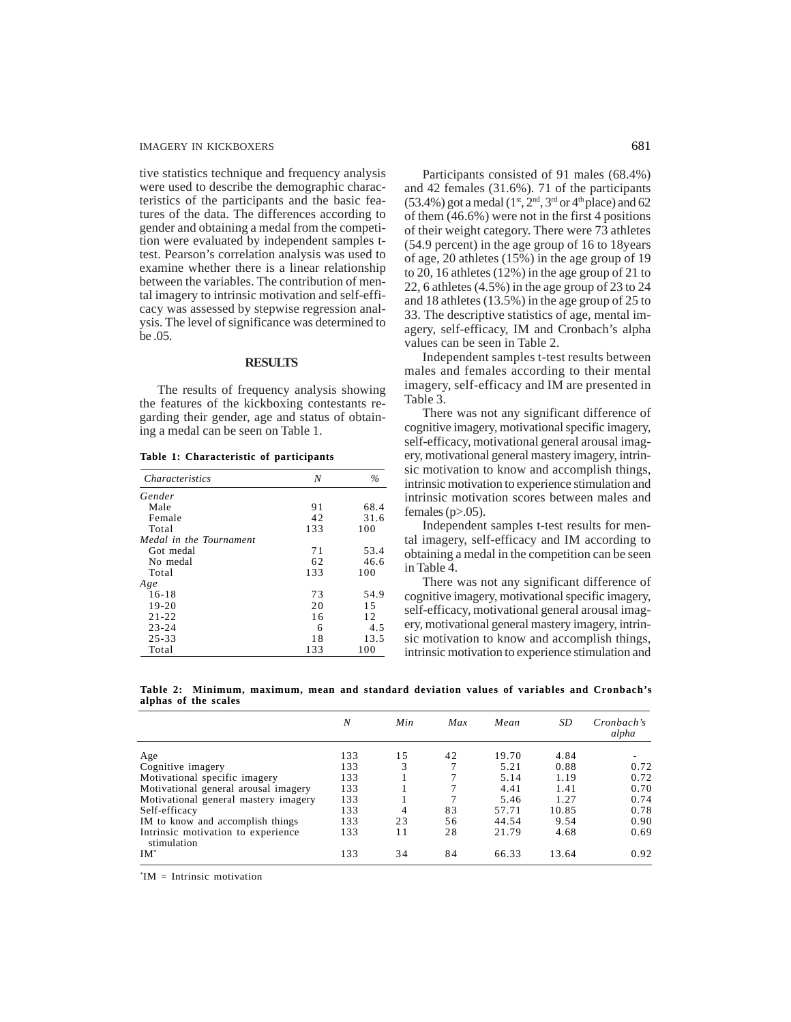tive statistics technique and frequency analysis were used to describe the demographic characteristics of the participants and the basic features of the data. The differences according to gender and obtaining a medal from the competition were evaluated by independent samples ttest. Pearson's correlation analysis was used to examine whether there is a linear relationship between the variables. The contribution of mental imagery to intrinsic motivation and self-efficacy was assessed by stepwise regression analysis. The level of significance was determined to be .05.

# **RESULTS**

The results of frequency analysis showing the features of the kickboxing contestants regarding their gender, age and status of obtaining a medal can be seen on Table 1.

**Table 1: Characteristic of participants**

| <i>Characteristics</i>  | N   | $\%$ |
|-------------------------|-----|------|
| Gender                  |     |      |
| Male                    | 91  | 68.4 |
| Female                  | 42  | 31.6 |
| Total                   | 133 | 100  |
| Medal in the Tournament |     |      |
| Got medal               | 71  | 53.4 |
| No medal                | 62  | 46.6 |
| Total                   | 133 | 100  |
| Age                     |     |      |
| $16 - 18$               | 73  | 54.9 |
| 19-20                   | 20  | 1.5  |
| $21 - 22$               | 16  | 12   |
| $23 - 24$               | 6   | 4.5  |
| $25 - 33$               | 18  | 13.5 |
| Total                   | 133 | 100  |

Participants consisted of 91 males (68.4%) and 42 females (31.6%). 71 of the participants (53.4%) got a medal ( $1<sup>st</sup>$ ,  $2<sup>nd</sup>$ ,  $3<sup>rd</sup>$  or  $4<sup>th</sup>$  place) and 62 of them (46.6%) were not in the first 4 positions of their weight category. There were 73 athletes (54.9 percent) in the age group of 16 to 18years of age, 20 athletes (15%) in the age group of 19 to 20, 16 athletes (12%) in the age group of 21 to 22, 6 athletes (4.5%) in the age group of 23 to 24 and 18 athletes (13.5%) in the age group of 25 to 33. The descriptive statistics of age, mental imagery, self-efficacy, IM and Cronbach's alpha values can be seen in Table 2.

Independent samples t-test results between males and females according to their mental imagery, self-efficacy and IM are presented in Table 3.

There was not any significant difference of cognitive imagery, motivational specific imagery, self-efficacy, motivational general arousal imagery, motivational general mastery imagery, intrinsic motivation to know and accomplish things, intrinsic motivation to experience stimulation and intrinsic motivation scores between males and females ( $p$  $> 0.05$ ).

Independent samples t-test results for mental imagery, self-efficacy and IM according to obtaining a medal in the competition can be seen in Table 4.

There was not any significant difference of cognitive imagery, motivational specific imagery, self-efficacy, motivational general arousal imagery, motivational general mastery imagery, intrinsic motivation to know and accomplish things, intrinsic motivation to experience stimulation and

**Table 2: Minimum, maximum, mean and standard deviation values of variables and Cronbach's alphas of the scales**

|                                                   | N   | Min | Max | Mean  | SD    | Cronbach's<br>alpha |
|---------------------------------------------------|-----|-----|-----|-------|-------|---------------------|
| Age                                               | 133 | 15  | 42  | 19.70 | 4.84  |                     |
| Cognitive imagery                                 | 133 | 3   |     | 5.21  | 0.88  | 0.72                |
| Motivational specific imagery                     | 133 |     |     | 5.14  | 1.19  | 0.72                |
| Motivational general arousal imagery              | 133 |     |     | 4.41  | 1.41  | 0.70                |
| Motivational general mastery imagery              | 133 |     |     | 5.46  | 1.27  | 0.74                |
| Self-efficacy                                     | 133 | 4   | 83  | 57.71 | 10.85 | 0.78                |
| IM to know and accomplish things                  | 133 | 23  | 56  | 44.54 | 9.54  | 0.90                |
| Intrinsic motivation to experience<br>stimulation | 133 | 11  | 28  | 21.79 | 4.68  | 0.69                |
| $IM^*$                                            | 133 | 34  | 84  | 66.33 | 13.64 | 0.92                |

\* IM = Intrinsic motivation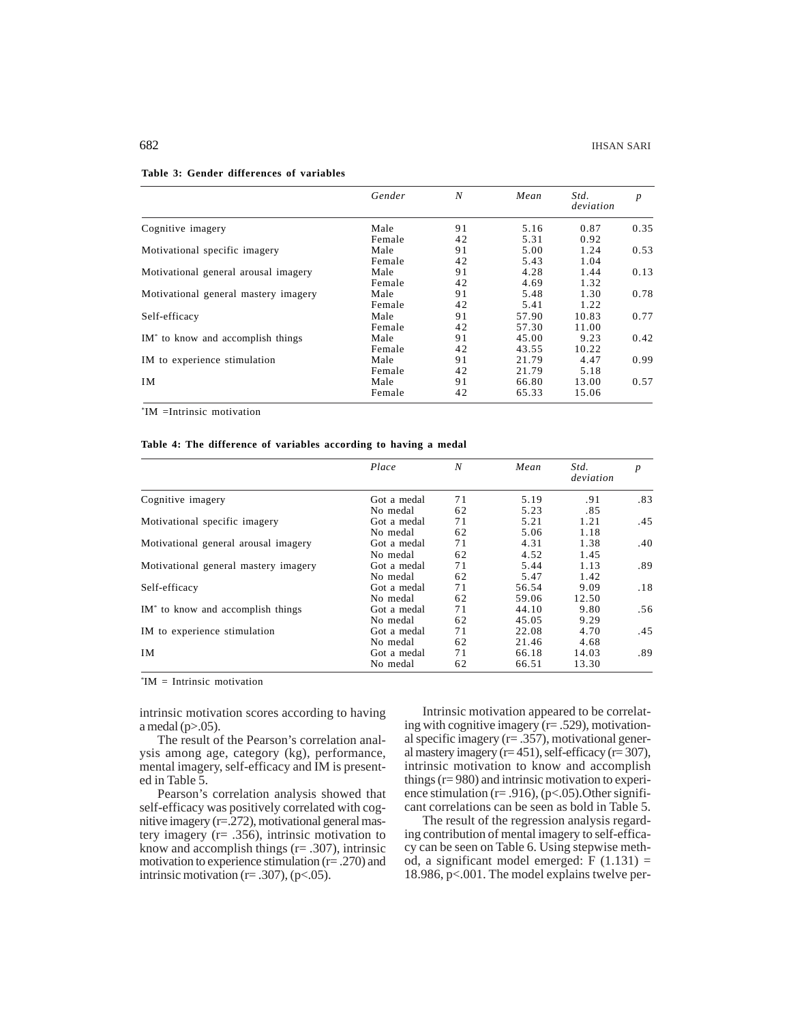|                                               | Gender | N  | Mean  | Std.<br>deviation | $\boldsymbol{p}$ |
|-----------------------------------------------|--------|----|-------|-------------------|------------------|
| Cognitive imagery                             | Male   | 91 | 5.16  | 0.87              | 0.35             |
|                                               | Female | 42 | 5.31  | 0.92              |                  |
| Motivational specific imagery                 | Male   | 91 | 5.00  | 1.24              | 0.53             |
|                                               | Female | 42 | 5.43  | 1.04              |                  |
| Motivational general arousal imagery          | Male   | 91 | 4.28  | 1.44              | 0.13             |
|                                               | Female | 42 | 4.69  | 1.32              |                  |
| Motivational general mastery imagery          | Male   | 91 | 5.48  | 1.30              | 0.78             |
|                                               | Female | 42 | 5.41  | 1.22              |                  |
| Self-efficacy                                 | Male   | 91 | 57.90 | 10.83             | 0.77             |
|                                               | Female | 42 | 57.30 | 11.00             |                  |
| IM <sup>*</sup> to know and accomplish things | Male   | 91 | 45.00 | 9.23              | 0.42             |
|                                               | Female | 42 | 43.55 | 10.22             |                  |
| IM to experience stimulation                  | Male   | 91 | 21.79 | 4.47              | 0.99             |
|                                               | Female | 42 | 21.79 | 5.18              |                  |
| IM                                            | Male   | 91 | 66.80 | 13.00             | 0.57             |
|                                               | Female | 42 | 65.33 | 15.06             |                  |

#### **Table 3: Gender differences of variables**

\* IM =Intrinsic motivation

### **Table 4: The difference of variables according to having a medal**

|                                               | Place       | N  | Mean  | Std.<br>deviation | p   |
|-----------------------------------------------|-------------|----|-------|-------------------|-----|
| Cognitive imagery                             | Got a medal | 71 | 5.19  | .91               | .83 |
|                                               | No medal    | 62 | 5.23  | .85               |     |
| Motivational specific imagery                 | Got a medal | 71 | 5.21  | 1.21              | .45 |
|                                               | No medal    | 62 | 5.06  | 1.18              |     |
| Motivational general arousal imagery          | Got a medal | 71 | 4.31  | 1.38              | .40 |
|                                               | No medal    | 62 | 4.52  | 1.45              |     |
| Motivational general mastery imagery          | Got a medal | 71 | 5.44  | 1.13              | .89 |
|                                               | No medal    | 62 | 5.47  | 1.42              |     |
| Self-efficacy                                 | Got a medal | 71 | 56.54 | 9.09              | .18 |
|                                               | No medal    | 62 | 59.06 | 12.50             |     |
| IM <sup>*</sup> to know and accomplish things | Got a medal | 71 | 44.10 | 9.80              | .56 |
|                                               | No medal    | 62 | 45.05 | 9.29              |     |
| IM to experience stimulation                  | Got a medal | 71 | 22.08 | 4.70              | .45 |
|                                               | No medal    | 62 | 21.46 | 4.68              |     |
| IM                                            | Got a medal | 71 | 66.18 | 14.03             | .89 |
|                                               | No medal    | 62 | 66.51 | 13.30             |     |

\* IM = Intrinsic motivation

intrinsic motivation scores according to having a medal  $(p>0.05)$ .

The result of the Pearson's correlation analysis among age, category (kg), performance, mental imagery, self-efficacy and IM is presented in Table 5.

Pearson's correlation analysis showed that self-efficacy was positively correlated with cognitive imagery (r=.272), motivational general mastery imagery (r= .356), intrinsic motivation to know and accomplish things  $(r=.307)$ , intrinsic motivation to experience stimulation (r= .270) and intrinsic motivation ( $r = .307$ ), ( $p < .05$ ).

Intrinsic motivation appeared to be correlating with cognitive imagery (r= .529), motivational specific imagery (r= .357), motivational general mastery imagery ( $r=451$ ), self-efficacy ( $r=307$ ), intrinsic motivation to know and accomplish things (r= 980) and intrinsic motivation to experience stimulation ( $r = .916$ ), ( $p < .05$ ). Other significant correlations can be seen as bold in Table 5.

The result of the regression analysis regarding contribution of mental imagery to self-efficacy can be seen on Table 6. Using stepwise method, a significant model emerged:  $F(1.131) =$ 18.986, p<.001. The model explains twelve per-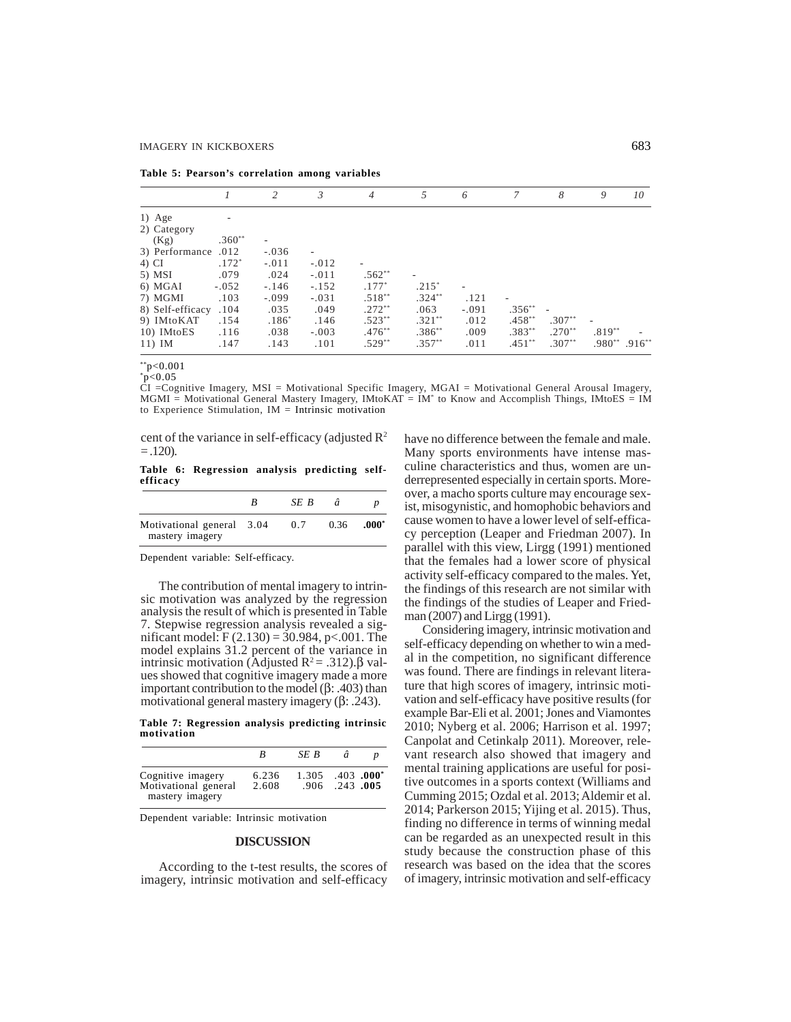| Table 5: Pearson's correlation among variables |  |  |  |  |  |  |
|------------------------------------------------|--|--|--|--|--|--|
|------------------------------------------------|--|--|--|--|--|--|

|                  |          | 2       | 3       | $\overline{4}$           | .5        | 6                        | 7         | 8        | 9                              | 10 |
|------------------|----------|---------|---------|--------------------------|-----------|--------------------------|-----------|----------|--------------------------------|----|
| $1)$ Age         |          |         |         |                          |           |                          |           |          |                                |    |
| 2) Category      |          |         |         |                          |           |                          |           |          |                                |    |
| (Kg)             | $.360**$ | -       |         |                          |           |                          |           |          |                                |    |
| 3) Performance   | .012     | $-.036$ |         |                          |           |                          |           |          |                                |    |
| 4) CI            | $.172*$  | $-.011$ | $-.012$ | $\overline{\phantom{a}}$ |           |                          |           |          |                                |    |
| 5) MSI           | .079     | .024    | $-.011$ | $.562**$                 |           |                          |           |          |                                |    |
| 6) MGAI          | $-.052$  | $-.146$ | $-.152$ | $.177*$                  | $.215*$   | $\overline{\phantom{a}}$ |           |          |                                |    |
| 7) MGMI          | .103     | $-.099$ | $-.031$ | $.518**$                 | $.324***$ | .121                     |           |          |                                |    |
| 8) Self-efficacy | .104     | .035    | .049    | $.272**$                 | .063      | $-.091$                  | $.356***$ |          |                                |    |
| 9) IMtoKAT       | .154     | $.186*$ | .146    | $.523**$                 | $.321***$ | .012                     | $.458***$ | $.307**$ |                                |    |
| 10) IMtoES       | .116     | .038    | $-.003$ | $.476***$                | $.386***$ | .009                     | $.383***$ | $.270**$ | $.819**$                       |    |
| $11)$ IM         | .147     | .143    | .101    | $.529**$                 | $.357***$ | .011                     | $.451***$ | $.307**$ | $.980^{**}$ .916 <sup>**</sup> |    |

\*\*p<0.001  $~^{\circ}p<0.05$ 

CI =Cognitive Imagery, MSI = Motivational Specific Imagery, MGAI = Motivational General Arousal Imagery, MGMI = Motivational General Mastery Imagery, IMtoKAT = IM\* to Know and Accomplish Things, IMtoES = IM to Experience Stimulation, IM = Intrinsic motivation

cent of the variance in self-efficacy (adjusted  $\mathbb{R}^2$ )  $= .120$ ).

**Table 6: Regression analysis predicting selfefficacy**

|                                              | SE B |      |        |
|----------------------------------------------|------|------|--------|
| Motivational general 3.04<br>mastery imagery | 0.7  | 0.36 | -.000* |

Dependent variable: Self-efficacy.

The contribution of mental imagery to intrinsic motivation was analyzed by the regression analysis the result of which is presented in Table 7. Stepwise regression analysis revealed a significant model:  $F(2.130) = 30.984$ , p<.001. The model explains 31.2 percent of the variance in intrinsic motivation (Adjusted  $R^2 = .312$ ).β values showed that cognitive imagery made a more important contribution to the model (β: .403) than motivational general mastery imagery (β: .243).

**Table 7: Regression analysis predicting intrinsic motivation**

|                                                              |                | SE B  |                      |                |
|--------------------------------------------------------------|----------------|-------|----------------------|----------------|
| Cognitive imagery<br>Motivational general<br>mastery imagery | 6.236<br>2.608 | 1.305 | $.906$ $.243$ $.005$ | $.403$ $.000*$ |

Dependent variable: Intrinsic motivation

### **DISCUSSION**

According to the t-test results, the scores of imagery, intrinsic motivation and self-efficacy

have no difference between the female and male. Many sports environments have intense masculine characteristics and thus, women are underrepresented especially in certain sports. Moreover, a macho sports culture may encourage sexist, misogynistic, and homophobic behaviors and cause women to have a lower level of self-efficacy perception (Leaper and Friedman 2007). In parallel with this view, Lirgg (1991) mentioned that the females had a lower score of physical activity self-efficacy compared to the males. Yet, the findings of this research are not similar with the findings of the studies of Leaper and Friedman (2007) and Lirgg (1991).

Considering imagery, intrinsic motivation and self-efficacy depending on whether to win a medal in the competition, no significant difference was found. There are findings in relevant literature that high scores of imagery, intrinsic motivation and self-efficacy have positive results (for example Bar-Eli et al. 2001; Jones and Viamontes 2010; Nyberg et al. 2006; Harrison et al. 1997; Canpolat and Cetinkalp 2011). Moreover, relevant research also showed that imagery and mental training applications are useful for positive outcomes in a sports context (Williams and Cumming 2015; Ozdal et al. 2013; Aldemir et al. 2014; Parkerson 2015; Yijing et al. 2015). Thus, finding no difference in terms of winning medal can be regarded as an unexpected result in this study because the construction phase of this research was based on the idea that the scores of imagery, intrinsic motivation and self-efficacy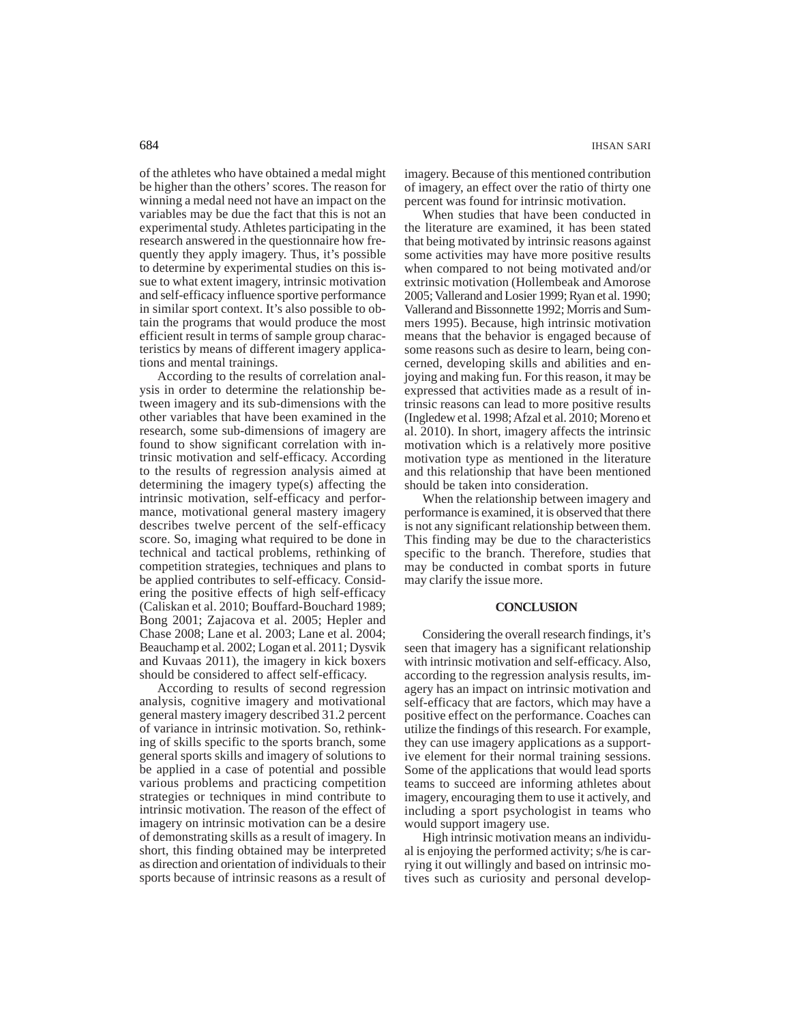of the athletes who have obtained a medal might be higher than the others' scores. The reason for winning a medal need not have an impact on the variables may be due the fact that this is not an experimental study. Athletes participating in the research answered in the questionnaire how frequently they apply imagery. Thus, it's possible to determine by experimental studies on this issue to what extent imagery, intrinsic motivation and self-efficacy influence sportive performance in similar sport context. It's also possible to obtain the programs that would produce the most efficient result in terms of sample group characteristics by means of different imagery applications and mental trainings.

According to the results of correlation analysis in order to determine the relationship between imagery and its sub-dimensions with the other variables that have been examined in the research, some sub-dimensions of imagery are found to show significant correlation with intrinsic motivation and self-efficacy. According to the results of regression analysis aimed at determining the imagery type(s) affecting the intrinsic motivation, self-efficacy and performance, motivational general mastery imagery describes twelve percent of the self-efficacy score. So, imaging what required to be done in technical and tactical problems, rethinking of competition strategies, techniques and plans to be applied contributes to self-efficacy. Considering the positive effects of high self-efficacy (Caliskan et al. 2010; Bouffard-Bouchard 1989; Bong 2001; Zajacova et al. 2005; Hepler and Chase 2008; Lane et al. 2003; Lane et al. 2004; Beauchamp et al. 2002; Logan et al. 2011; Dysvik and Kuvaas 2011), the imagery in kick boxers should be considered to affect self-efficacy.

According to results of second regression analysis, cognitive imagery and motivational general mastery imagery described 31.2 percent of variance in intrinsic motivation. So, rethinking of skills specific to the sports branch, some general sports skills and imagery of solutions to be applied in a case of potential and possible various problems and practicing competition strategies or techniques in mind contribute to intrinsic motivation. The reason of the effect of imagery on intrinsic motivation can be a desire of demonstrating skills as a result of imagery. In short, this finding obtained may be interpreted as direction and orientation of individuals to their sports because of intrinsic reasons as a result of imagery. Because of this mentioned contribution of imagery, an effect over the ratio of thirty one percent was found for intrinsic motivation.

When studies that have been conducted in the literature are examined, it has been stated that being motivated by intrinsic reasons against some activities may have more positive results when compared to not being motivated and/or extrinsic motivation (Hollembeak and Amorose 2005; Vallerand and Losier 1999; Ryan et al. 1990; Vallerand and Bissonnette 1992; Morris and Summers 1995). Because, high intrinsic motivation means that the behavior is engaged because of some reasons such as desire to learn, being concerned, developing skills and abilities and enjoying and making fun. For this reason, it may be expressed that activities made as a result of intrinsic reasons can lead to more positive results (Ingledew et al. 1998; Afzal et al. 2010; Moreno et al. 2010). In short, imagery affects the intrinsic motivation which is a relatively more positive motivation type as mentioned in the literature and this relationship that have been mentioned should be taken into consideration.

When the relationship between imagery and performance is examined, it is observed that there is not any significant relationship between them. This finding may be due to the characteristics specific to the branch. Therefore, studies that may be conducted in combat sports in future may clarify the issue more.

### **CONCLUSION**

Considering the overall research findings, it's seen that imagery has a significant relationship with intrinsic motivation and self-efficacy. Also, according to the regression analysis results, imagery has an impact on intrinsic motivation and self-efficacy that are factors, which may have a positive effect on the performance. Coaches can utilize the findings of this research. For example, they can use imagery applications as a supportive element for their normal training sessions. Some of the applications that would lead sports teams to succeed are informing athletes about imagery, encouraging them to use it actively, and including a sport psychologist in teams who would support imagery use.

High intrinsic motivation means an individual is enjoying the performed activity; s/he is carrying it out willingly and based on intrinsic motives such as curiosity and personal develop-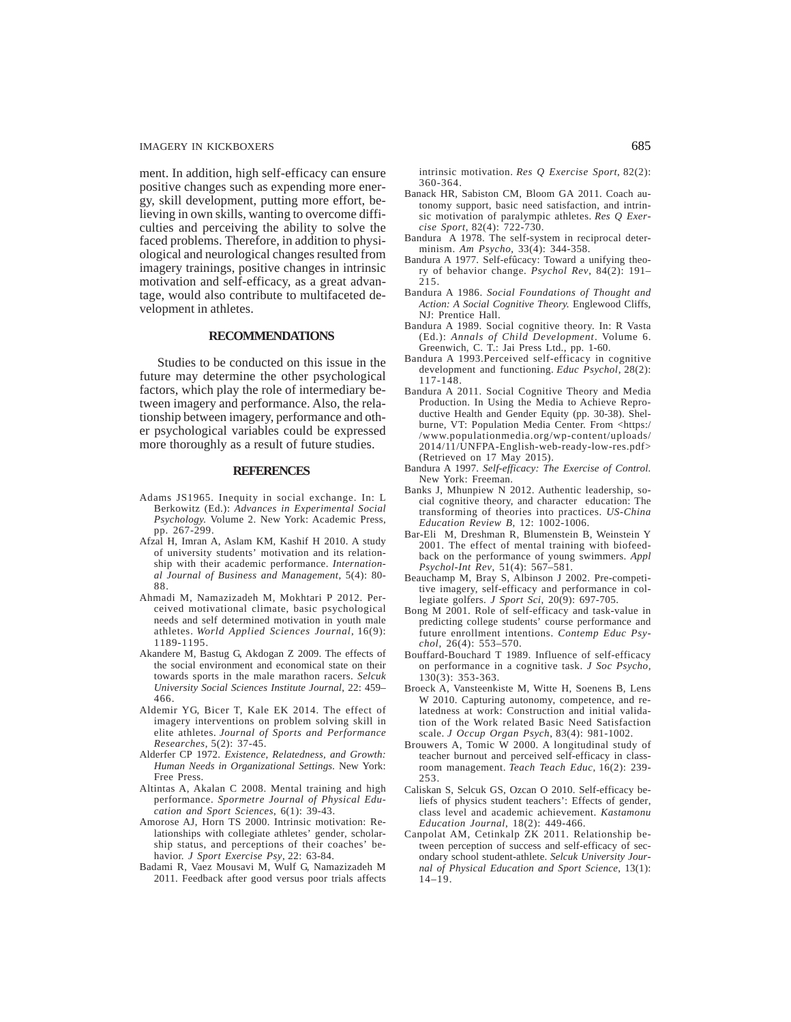ment. In addition, high self-efficacy can ensure positive changes such as expending more energy, skill development, putting more effort, believing in own skills, wanting to overcome difficulties and perceiving the ability to solve the faced problems. Therefore, in addition to physiological and neurological changes resulted from imagery trainings, positive changes in intrinsic motivation and self-efficacy, as a great advantage, would also contribute to multifaceted development in athletes.

### **RECOMMENDATIONS**

Studies to be conducted on this issue in the future may determine the other psychological factors, which play the role of intermediary between imagery and performance. Also, the relationship between imagery, performance and other psychological variables could be expressed more thoroughly as a result of future studies.

### **REFERENCES**

- Adams JS1965. Inequity in social exchange. In: L Berkowitz (Ed.): *Advances in Experimental Social Psychology.* Volume 2. New York: Academic Press, pp. 267-299.
- Afzal H, Imran A, Aslam KM, Kashif H 2010. A study of university students' motivation and its relationship with their academic performance. *International Journal of Business and Management*, 5(4): 80- 88.
- Ahmadi M, Namazizadeh M, Mokhtari P 2012. Perceived motivational climate, basic psychological needs and self determined motivation in youth male athletes. *World Applied Sciences Journal*, 16(9): 1189-1195.
- Akandere M, Bastug G, Akdogan Z 2009. The effects of the social environment and economical state on their towards sports in the male marathon racers. *Selcuk University Social Sciences Institute Journal*, 22: 459– 466.
- Aldemir YG, Bicer T, Kale EK 2014. The effect of imagery interventions on problem solving skill in elite athletes. *Journal of Sports and Performance Researches*, 5(2): 37-45.
- Alderfer CP 1972. *Existence, Relatedness, and Growth: Human Needs in Organizational Settings.* New York: Free Press.
- Altintas A, Akalan C 2008. Mental training and high performance. *Spormetre Journal of Physical Education and Sport Sciences*, 6(1): 39-43.
- Amorose AJ, Horn TS 2000. Intrinsic motivation: Relationships with collegiate athletes' gender, scholarship status, and perceptions of their coaches' behavior. *J Sport Exercise Psy*, 22: 63-84.
- Badami R, Vaez Mousavi M, Wulf G, Namazizadeh M 2011. Feedback after good versus poor trials affects

intrinsic motivation. *Res Q Exercise Sport*, 82(2): 360-364.

- Banack HR, Sabiston CM, Bloom GA 2011. Coach autonomy support, basic need satisfaction, and intrinsic motivation of paralympic athletes. *Res Q Exercise Sport*, 82(4): 722-730.
- Bandura A 1978. The self-system in reciprocal determinism. *Am Psycho*, 33(4): 344-358.
- Bandura A 1977. Self-efûcacy: Toward a unifying theory of behavior change. *Psychol Rev*, 84(2): 191– 215.
- Bandura A 1986. *Social Foundations of Thought and Action: A Social Cognitive Theory.* Englewood Cliffs, NJ: Prentice Hall.
- Bandura A 1989. Social cognitive theory. In: R Vasta (Ed.): *Annals of Child Development*. Volume 6. Greenwich, C. T.: Jai Press Ltd., pp. 1-60.
- Bandura A 1993.Perceived self-efficacy in cognitive development and functioning. *Educ Psychol*, 28(2): 117-148.
- Bandura A 2011. Social Cognitive Theory and Media Production. In Using the Media to Achieve Reproductive Health and Gender Equity (pp. 30-38). Shelburne, VT: Population Media Center. From <https:/ /www.populationmedia.org/wp-content/uploads/ 2014/11/UNFPA-English-web-ready-low-res.pdf> (Retrieved on 17 May 2015).
- Bandura A 1997. *Self-efficacy: The Exercise of Control.* New York: Freeman.
- Banks J, Mhunpiew N 2012. Authentic leadership, social cognitive theory, and character education: The transforming of theories into practices. *US-China Education Review B*, 12: 1002-1006.
- Bar-Eli M, Dreshman R, Blumenstein B, Weinstein Y 2001. The effect of mental training with biofeedback on the performance of young swimmers. *Appl Psychol-Int Rev*, 51(4): 567–581.
- Beauchamp M, Bray S, Albinson J 2002. Pre-competitive imagery, self-efficacy and performance in collegiate golfers. *J Sport Sci*, 20(9): 697-705.
- Bong M 2001. Role of self-efficacy and task-value in predicting college students' course performance and future enrollment intentions. *Contemp Educ Psychol,* 26(4): 553–570.
- Bouffard-Bouchard T 1989. Influence of self-efficacy on performance in a cognitive task. *J Soc Psycho,* 130(3): 353-363.
- Broeck A, Vansteenkiste M, Witte H, Soenens B, Lens W 2010. Capturing autonomy, competence, and relatedness at work: Construction and initial validation of the Work related Basic Need Satisfaction scale. *J Occup Organ Psych*, 83(4): 981-1002.
- Brouwers A, Tomic W 2000. A longitudinal study of teacher burnout and perceived self-efficacy in classroom management. *Teach Teach Educ*, 16(2): 239- 253.
- Caliskan S, Selcuk GS, Ozcan O 2010. Self-efficacy beliefs of physics student teachers': Effects of gender, class level and academic achievement. *Kastamonu Education Journal*, 18(2): 449-466.
- Canpolat AM, Cetinkalp ZK 2011. Relationship between perception of success and self-efficacy of secondary school student-athlete. *Selcuk University Journal of Physical Education and Sport Science*, 13(1):  $14 - 19$ .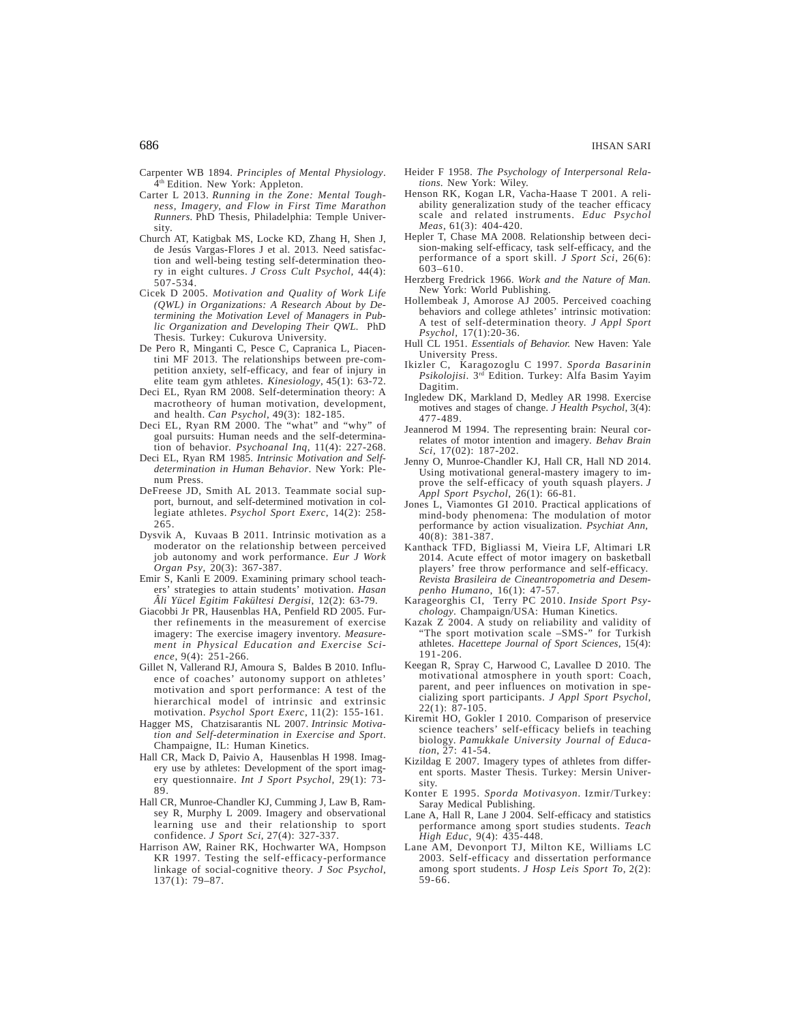- Carpenter WB 1894. *Principles of Mental Physiology*. 4<sup>th</sup> Edition. New York: Appleton.
- Carter L 2013. *Running in the Zone: Mental Toughness, Imagery, and Flow in First Time Marathon Runners.* PhD Thesis, Philadelphia: Temple University.
- Church AT, Katigbak MS, Locke KD, Zhang H, Shen J, de Jesús Vargas-Flores J et al. 2013. Need satisfaction and well-being testing self-determination theory in eight cultures. *J Cross Cult Psychol,* 44(4): 507-534.
- Cicek D 2005. *Motivation and Quality of Work Life (QWL) in Organizations: A Research About by Determining the Motivation Level of Managers in Public Organization and Developing Their QWL.* PhD Thesis*.* Turkey: Cukurova University.
- De Pero R, Minganti C, Pesce C, Capranica L, Piacentini MF 2013. The relationships between pre-competition anxiety, self-efficacy, and fear of injury in elite team gym athletes. *Kinesiology*, 45(1): 63-72.
- Deci EL, Ryan RM 2008. Self-determination theory: A macrotheory of human motivation, development, and health. *Can Psychol*, 49(3): 182-185.
- Deci EL, Ryan RM 2000. The "what" and "why" of goal pursuits: Human needs and the self-determination of behavior*. Psychoanal Inq,* 11(4): 227-268.
- Deci EL, Ryan RM 1985. *Intrinsic Motivation and Selfdetermination in Human Behavior*. New York: Plenum Press.
- DeFreese JD, Smith AL 2013. Teammate social support, burnout, and self-determined motivation in collegiate athletes. *Psychol Sport Exerc*, 14(2): 258- 265.
- Dysvik A, Kuvaas B 2011. Intrinsic motivation as a moderator on the relationship between perceived job autonomy and work performance. *Eur J Work Organ Psy*, 20(3): 367-387.
- Emir S, Kanli E 2009. Examining primary school teachers' strategies to attain students' motivation. *Hasan Âli Yücel Egitim Fakültesi Dergisi*, 12(2): 63-79.
- Giacobbi Jr PR, Hausenblas HA, Penfield RD 2005. Further refinements in the measurement of exercise imagery: The exercise imagery inventory. *Measurement in Physical Education and Exercise Science*, 9(4): 251-266.
- Gillet N, Vallerand RJ, Amoura S, Baldes B 2010. Influence of coaches' autonomy support on athletes' motivation and sport performance: A test of the hierarchical model of intrinsic and extrinsic motivation. *Psychol Sport Exerc*, 11(2): 155-161.
- Hagger MS, Chatzisarantis NL 2007. *Intrinsic Motivation and Self-determination in Exercise and Sport*. Champaigne, IL: Human Kinetics.
- Hall CR, Mack D, Paivio A, Hausenblas H 1998. Imagery use by athletes: Development of the sport imagery questionnaire. *Int J Sport Psychol,* 29(1): 73- 89.
- Hall CR, Munroe-Chandler KJ, Cumming J, Law B, Ramsey R, Murphy L 2009. Imagery and observational learning use and their relationship to sport confidence. *J Sport Sci*, 27(4): 327-337.
- Harrison AW, Rainer RK, Hochwarter WA, Hompson KR 1997. Testing the self-efficacy-performance linkage of social-cognitive theory. *J Soc Psychol*, 137(1): 79–87.
- Heider F 1958. *The Psychology of Interpersonal Relations*. New York: Wiley.
- Henson RK, Kogan LR, Vacha-Haase T 2001. A reliability generalization study of the teacher efficacy scale and related instruments. *Educ Psychol Meas*, 61(3): 404-420.
- Hepler T, Chase MA 2008. Relationship between decision-making self-efficacy, task self-efficacy, and the performance of a sport skill. *J Sport Sci*, 26(6): 603–610.
- Herzberg Fredrick 1966. *Work and the Nature of Man.* New York: World Publishing.
- Hollembeak J, Amorose AJ 2005. Perceived coaching behaviors and college athletes' intrinsic motivation: A test of self-determination theory. *J Appl Sport Psychol,* 17(1):20-36.
- Hull CL 1951. *Essentials of Behavior.* New Haven: Yale University Press.
- Ikizler C, Karagozoglu C 1997. *Sporda Basarinin Psikolojisi*. 3rd Edition. Turkey: Alfa Basim Yayim Dagitim.
- Ingledew DK, Markland D, Medley AR 1998. Exercise motives and stages of change. *J Health Psychol*, 3(4): 477-489.
- Jeannerod M 1994. The representing brain: Neural correlates of motor intention and imagery*. Behav Brain Sci*, 17(02): 187-202.
- Jenny O, Munroe-Chandler KJ, Hall CR, Hall ND 2014. Using motivational general-mastery imagery to improve the self-efficacy of youth squash players. *J Appl Sport Psychol*, 26(1): 66-81.
- Jones L, Viamontes GI 2010. Practical applications of mind-body phenomena: The modulation of motor performance by action visualization. *Psychiat Ann,* 40(8): 381-387.
- Kanthack TFD, Bigliassi M, Vieira LF, Altimari LR 2014. Acute effect of motor imagery on basketball players' free throw performance and self-efficacy. *Revista Brasileira de Cineantropometria and Desempenho Humano*, 16(1): 47-57.
- Karageorghis CI, Terry PC 2010. *Inside Sport Psychology*. Champaign/USA: Human Kinetics.
- Kazak Z 2004. A study on reliability and validity of "The sport motivation scale –SMS-" for Turkish athletes. *Hacettepe Journal of Sport Sciences*, 15(4): 191-206.
- Keegan R, Spray C, Harwood C, Lavallee D 2010. The motivational atmosphere in youth sport: Coach, parent, and peer influences on motivation in specializing sport participants. *J Appl Sport Psychol*,  $22(1)$ : 87-105.
- Kiremit HO, Gokler I 2010. Comparison of preservice science teachers' self-efficacy beliefs in teaching biology. *Pamukkale University Journal of Education*, 27: 41-54.
- Kizildag E 2007. Imagery types of athletes from different sports. Master Thesis. Turkey: Mersin University.
- Konter E 1995. *Sporda Motivasyon.* Izmir/Turkey: Saray Medical Publishing.
- Lane A, Hall R, Lane J 2004. Self-efficacy and statistics performance among sport studies students. *Teach High Educ*, 9(4): 435-448.
- Lane AM, Devonport TJ, Milton KE, Williams LC 2003. Self-efficacy and dissertation performance among sport students. *J Hosp Leis Sport To*, 2(2): 59-66.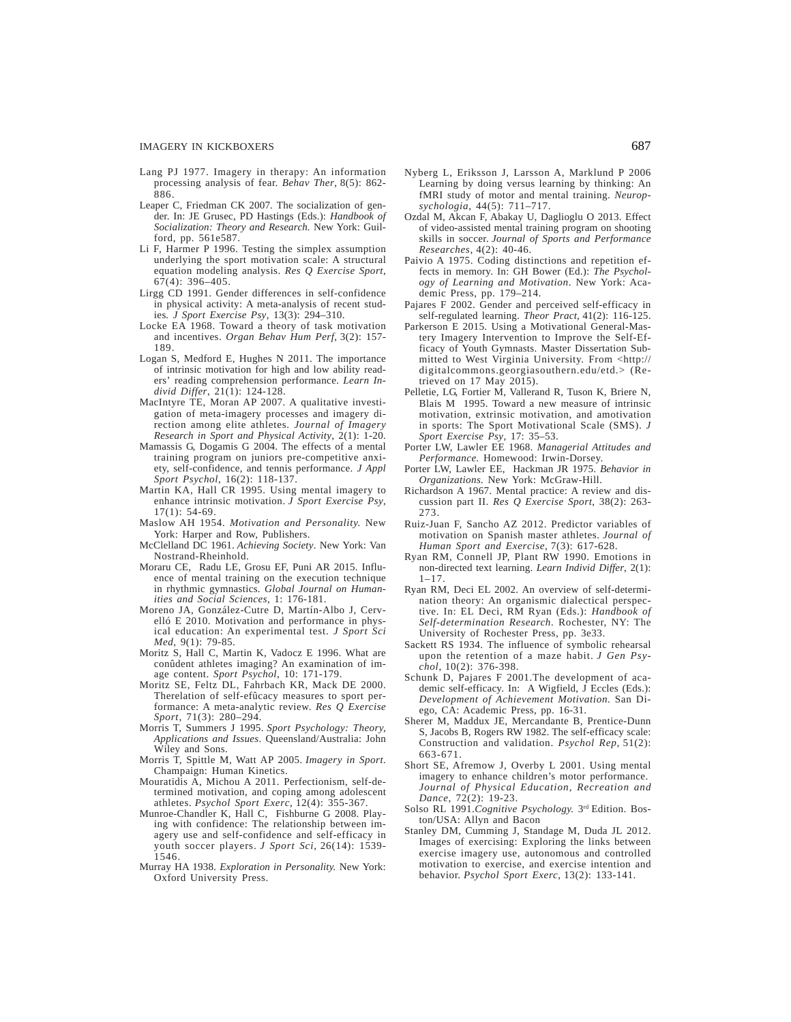- Lang PJ 1977. Imagery in therapy: An information processing analysis of fear. *Behav Ther*, 8(5): 862- 886.
- Leaper C, Friedman CK 2007*.* The socialization of gender. In: JE Grusec, PD Hastings (Eds.): *Handbook of Socialization: Theory and Research.* New York: Guilford, pp. 561e587.
- Li F, Harmer P 1996. Testing the simplex assumption underlying the sport motivation scale: A structural equation modeling analysis. *Res Q Exercise Sport*,  $67(4)$ : 396-405.
- Lirgg CD 1991. Gender differences in self-confidence in physical activity: A meta-analysis of recent studies*. J Sport Exercise Psy*, 13(3): 294–310.
- Locke EA 1968. Toward a theory of task motivation and incentives. *Organ Behav Hum Perf*, 3(2): 157- 189.
- Logan S, Medford E, Hughes N 2011. The importance of intrinsic motivation for high and low ability readers' reading comprehension performance. *Learn Individ Differ*, 21(1): 124-128.
- MacIntyre TE, Moran AP 2007. A qualitative investigation of meta-imagery processes and imagery direction among elite athletes. *Journal of Imagery Research in Sport and Physical Activity*, 2(1): 1-20.
- Mamassis G, Dogamis G 2004. The effects of a mental training program on juniors pre-competitive anxiety, self-confidence, and tennis performance. *J Appl Sport Psychol*, 16(2): 118-137.
- Martin KA, Hall CR 1995. Using mental imagery to enhance intrinsic motivation. *J Sport Exercise Psy*, 17(1): 54-69.
- Maslow AH 1954. *Motivation and Personality.* New York: Harper and Row, Publishers.
- McClelland DC 1961. *Achieving Society*. New York: Van Nostrand-Rheinhold.
- Moraru CE, Radu LE, Grosu EF, Puni AR 2015. Influence of mental training on the execution technique in rhythmic gymnastics. *Global Journal on Humanities and Social Sciences,* 1: 176-181.
- Moreno JA, González-Cutre D, Martín-Albo J, Cervelló E 2010. Motivation and performance in physical education: An experimental test. *J Sport Sci Med,* 9(1): 79-85.
- Moritz S, Hall C, Martin K, Vadocz E 1996. What are conûdent athletes imaging? An examination of image content. *Sport Psychol*, 10: 171-179.
- Moritz SE, Feltz DL, Fahrbach KR, Mack DE 2000. Therelation of self-efûcacy measures to sport performance: A meta-analytic review. *Res Q Exercise Sport*, 71(3): 280–294.
- Morris T, Summers J 1995. *Sport Psychology: Theory, Applications and Issues*. Queensland/Australia: John Wiley and Sons.
- Morris T, Spittle M, Watt AP 2005. *Imagery in Sport*. Champaign: Human Kinetics.
- Mouratidis A, Michou A 2011. Perfectionism, self-determined motivation, and coping among adolescent athletes. *Psychol Sport Exerc*, 12(4): 355-367.
- Munroe-Chandler K, Hall C, Fishburne G 2008. Playing with confidence: The relationship between imagery use and self-confidence and self-efficacy in youth soccer players. *J Sport Sci*, 26(14): 1539- 1546.
- Murray HA 1938. *Exploration in Personality.* New York: Oxford University Press.
- Nyberg L, Eriksson J, Larsson A, Marklund P 2006 Learning by doing versus learning by thinking: An fMRI study of motor and mental training. *Neuropsychologia*, 44(5): 711–717.
- Ozdal M, Akcan F, Abakay U, Daglioglu O 2013. Effect of video-assisted mental training program on shooting skills in soccer. *Journal of Sports and Performance Researches*, 4(2): 40-46.
- Paivio A 1975. Coding distinctions and repetition effects in memory. In: GH Bower (Ed.): *The Psychology of Learning and Motivation*. New York: Academic Press, pp. 179–214.
- Pajares F 2002. Gender and perceived self-efficacy in self-regulated learning. *Theor Pract,* 41(2): 116-125.
- Parkerson E 2015. Using a Motivational General-Mastery Imagery Intervention to Improve the Self-Efficacy of Youth Gymnasts. Master Dissertation Submitted to West Virginia University. From <http:// digitalcommons.georgiasouthern.edu/etd.> (Retrieved on 17 May 2015).
- Pelletie, LG, Fortier M, Vallerand R, Tuson K, Briere N, Blais M 1995. Toward a new measure of intrinsic motivation, extrinsic motivation, and amotivation in sports: The Sport Motivational Scale (SMS). *J Sport Exercise Psy*, 17: 35–53.
- Porter LW, Lawler EE 1968. *Managerial Attitudes and Performance.* Homewood: Irwin-Dorsey.
- Porter LW, Lawler EE, Hackman JR 1975. *Behavior in Organizations.* New York: McGraw-Hill.
- Richardson A 1967. Mental practice: A review and discussion part II. *Res Q Exercise Sport*, 38(2): 263- 273.
- Ruiz-Juan F, Sancho AZ 2012. Predictor variables of motivation on Spanish master athletes. *Journal of Human Sport and Exercise*, 7(3): 617-628.
- Ryan RM, Connell JP, Plant RW 1990. Emotions in non-directed text learning. *Learn Individ Differ*, 2(1):  $1 - 17$ .
- Ryan RM, Deci EL 2002. An overview of self-determination theory: An organismic dialectical perspective. In: EL Deci, RM Ryan (Eds.): *Handbook of Self-determination Research.* Rochester, NY: The University of Rochester Press, pp. 3e33.
- Sackett RS 1934. The influence of symbolic rehearsal upon the retention of a maze habit. *J Gen Psychol*, 10(2): 376-398.
- Schunk D, Pajares F 2001.The development of academic self-efficacy. In: A Wigfield, J Eccles (Eds.): *Development of Achievement Motivation.* San Diego, CA: Academic Press, pp. 16-31.
- Sherer M, Maddux JE, Mercandante B, Prentice-Dunn S, Jacobs B, Rogers RW 1982. The self-efficacy scale: Construction and validation. *Psychol Rep*, 51(2): 663-671.
- Short SE, Afremow J, Overby L 2001. Using mental imagery to enhance children's motor performance. *Journal of Physical Education, Recreation and Dance*, 72(2): 19-23.
- Solso RL 1991.*Cognitive Psychology.* 3rd Edition. Boston/USA: Allyn and Bacon
- Stanley DM, Cumming J, Standage M, Duda JL 2012. Images of exercising: Exploring the links between exercise imagery use, autonomous and controlled motivation to exercise, and exercise intention and behavior. *Psychol Sport Exerc*, 13(2): 133-141.